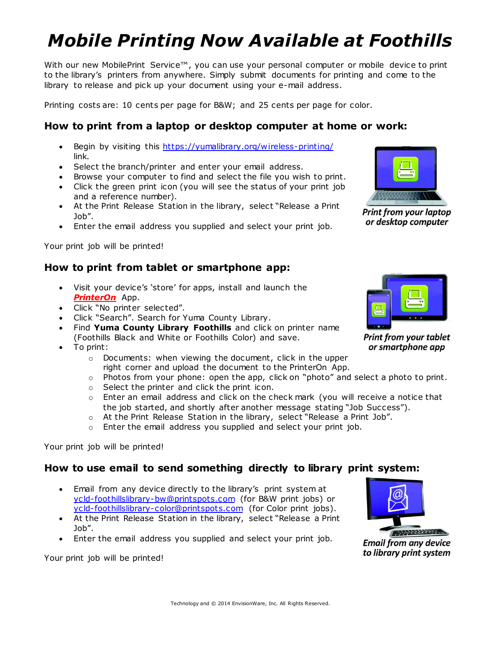# *Mobile Printing Now Available at Foothills*

With our new MobilePrint Service™, you can use your personal computer or mobile device to print to the library's printers from anywhere. Simply submit documents for printing and come to the library to release and pick up your document using your e-mail address.

Printing costs are: 10 cents per page for B&W; and 25 cents per page for color.

### **How to print from a laptop or desktop computer at home or work:**

- Begin by visiting this<https://yumalibrary.org/wireless-printing/> link.
- Select the branch/printer and enter your email address.
- Browse your computer to find and select the file you wish to print.
- Click the green print icon (you will see the status of your print job and a reference number).
- At the Print Release Station in the library, select "Release a Print Job".
- Enter the email address you supplied and select your print job.

Your print job will be printed!

#### **How to print from tablet or smartphone app:**

- Visit your device's 'store' for apps, install and launch the *PrinterOn* App.
- Click "No printer selected".
- Click "Search". Search for Yuma County Library.
- Find **Yuma County Library Foothills** and click on printer name (Foothills Black and White or Foothills Color) and save.
- To print:
	- o Documents: when viewing the document, click in the upper right corner and upload the document to the PrinterOn App.
	- $\circ$  Photos from your phone: open the app, click on "photo" and select a photo to print.
	- o Select the printer and click the print icon.
	- o Enter an email address and click on the check mark (you will receive a notice that the job started, and shortly after another message stating "Job Success").
	- o At the Print Release Station in the library, select "Release a Print Job".
	- o Enter the email address you supplied and select your print job.

Your print job will be printed!

#### **How to use email to send something directly to library print system:**

- Email from any device directly to the library's print system at [ycld-foothillslibrary-bw@printspots.com](mailto:ycld-foothillslibrary-bw@printspots.com) (for B&W print jobs) or [ycld-foothillslibrary-color@printspots.com](mailto:ycld-foothillslibrary-color@printspots.com) (for Color print jobs).
- At the Print Release Station in the library, select "Release a Print Job".
- Enter the email address you supplied and select your print job.

Your print job will be printed!



**Print from your laptop** or desktop computer



**Print from your tablet** or smartphone app



**Email from any device** to library print system